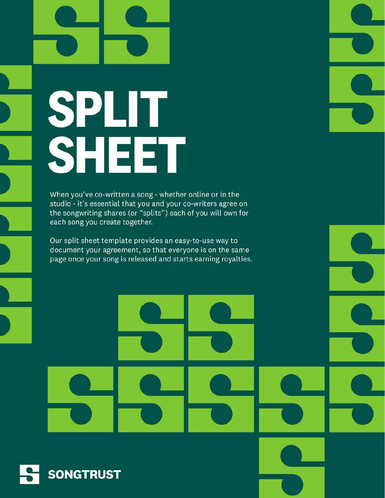# SPLIT SHEET

When you've co-written a song - whether online or in the studio - it's essential that you and your co-writers agree on the songwriting shares (or "splits") each of you will own for each song you create together.

Our split sheet template provides an easy-to-use way to document your agreement, so that everyone is on the same page once your song is released and starts earning royalties.

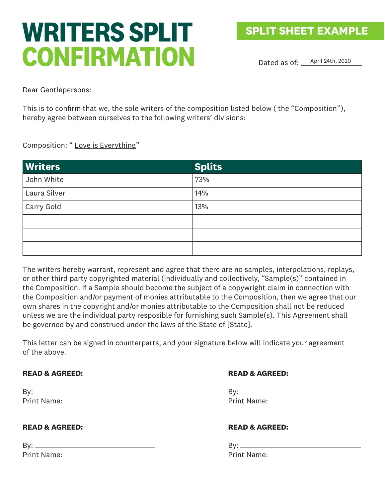# **WRITERS SPLIT CONFIRMATION**

Dated as of: <u>April 24th, 2020</u>

Dear Gentlepersons:

This is to confirm that we, the sole writers of the composition listed below ( the "Composition"), hereby agree between ourselves to the following writers' divisions:

Composition: " Love is Everything"

| <b>Writers</b> | <b>Splits</b> |
|----------------|---------------|
| John White     | 73%           |
| Laura Silver   | 14%           |
| Carry Gold     | 13%           |
|                |               |
|                |               |
|                |               |

The writers hereby warrant, represent and agree that there are no samples, interpolations, replays, or other third party copyrighted material (individually and collectively, "Sample(s)" contained in the Composition. If a Sample should become the subject of a copywright claim in connection with the Composition and/or payment of monies attributable to the Composition, then we agree that our own shares in the copyright and/or monies attributable to the Composition shall not be reduced unless we are the individual party resposible for furnishing such Sample(s). This Agreement shall be governed by and construed under the laws of the State of [State].

This letter can be signed in counterparts, and your signature below will indicate your agreement of the above.

# **READ & AGREED:**

| By: $\rule{1em}{0.15mm}$ |                    |
|--------------------------|--------------------|
|                          | <b>Print Name:</b> |

# **READ & AGREED:**

| By: _____ |                    |
|-----------|--------------------|
|           | <b>Print Name:</b> |

# **READ & AGREED:**

 $By:$ Print Name:

# **READ & AGREED:**

By: Print Name: